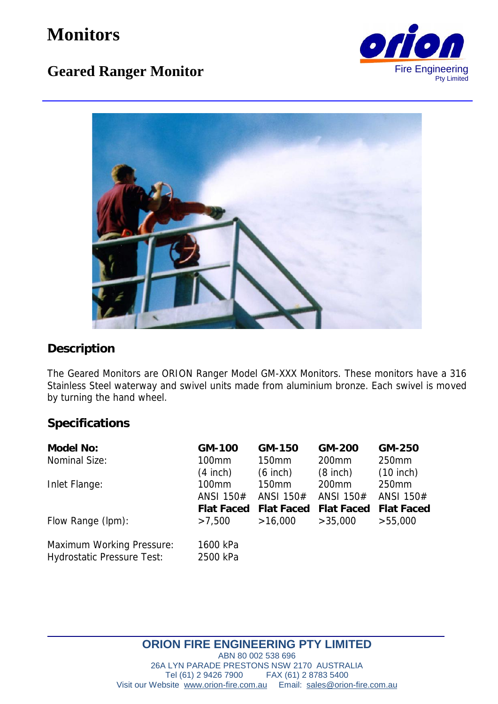# **Monitors**

# **Geared Ranger Monitor** Fire Engineering





## **Description**

The Geared Monitors are ORION Ranger Model GM-XXX Monitors. These monitors have a 316 Stainless Steel waterway and swivel units made from aluminium bronze. Each swivel is moved by turning the hand wheel.

#### **Specifications**

| Model No:                                                             | GM-100               | GM-150            | GM-200            | GM-250            |
|-----------------------------------------------------------------------|----------------------|-------------------|-------------------|-------------------|
| Nominal Size:                                                         | 100mm                | 150mm             | 200 <sub>mm</sub> | 250mm             |
|                                                                       | $(4$ inch)           | $(6$ inch)        | $(8$ inch)        | $(10$ inch)       |
| Inlet Flange:                                                         | 100mm                | 150mm             | 200 <sub>mm</sub> | 250mm             |
|                                                                       | ANSI 150#            | ANSI 150#         | ANSI 150#         | ANSI 150#         |
|                                                                       | Flat Faced           | <b>Flat Faced</b> | <b>Flat Faced</b> | <b>Flat Faced</b> |
| Flow Range (lpm):                                                     | >7,500               | >16,000           | >35,000           | >55,000           |
| <b>Maximum Working Pressure:</b><br><b>Hydrostatic Pressure Test:</b> | 1600 kPa<br>2500 kPa |                   |                   |                   |

## **ORION FIRE ENGINEERING PTY LIMITED**

ABN 80 002 538 696 26A LYN PARADE PRESTONS NSW 2170 AUSTRALIA<br>Tel (61) 2 9426 7900 FAX (61) 2 8783 5400 FAX (61) 2 8783 5400 Visit our Website www.orion-fire.com.au Email: sales@orion-fire.com.au